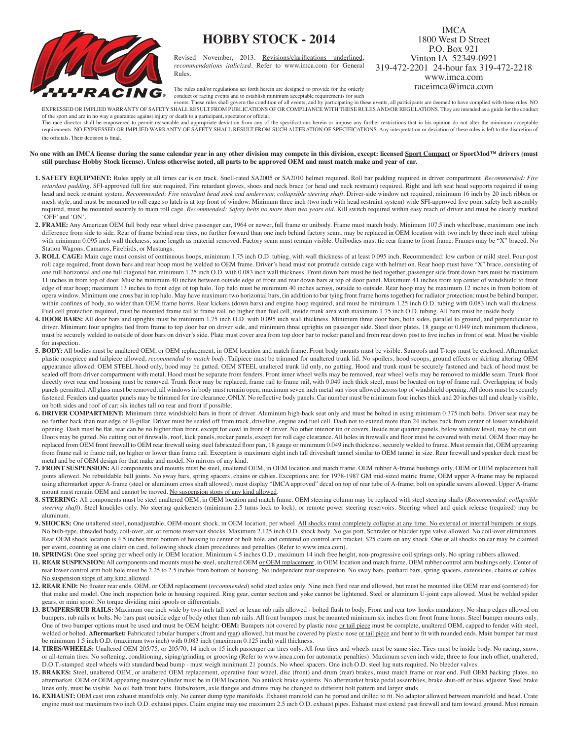## **HOBBY STOCK - 2014**



Revised November, 2013. Revisions/clarifications underlined, *recommendations italicized*. Refer to www.imca.com for General Rules.

## 1800 West D Street P.O. Box 921 Vinton IA 52349-0921 319-472-2201 24-hour fax 319-472-2218 www.imca.com raceimca@imca.com

IMCA

The rules and/or regulations set forth herein are designed to provide for the orderly

conduct of racing events and to establish minimum acceptable requirements for such

events. These rules shall govern the condition of all events, and by participating in these events, all participants are deemed to have complied with these rules. NO EXPRESSED OR IMPLIED WARRANTY OF SAFETY SHALL RESULT FROM PUBLICATIONS OF OR COMPLIANCE WITH THESE RULES AND/OR REGULATIONS. They are intended as a guide for the conduct of the sport and are in no way a guarantee against injury or death to a participant, spectator or official.

The race director shall be empowered to permit reasonable and appropriate deviation from any of the specifications herein or impose any further restrictions that in his opinion do not alter the minimum acceptable requirements. NO EXPRESSED OR IMPLIED WARRANTY OF SAFETY SHALL RESULT FROM SUCH ALTERATION OF SPECIFICATIONS. Any interpretation or deviation of these rules is left to the discretion of the officials. Their decision is final.

## No one with an IMCA license during the same calendar year in any other division may compete in this division, except: licensed <u>Sport Compact</u> or SportMod™ drivers (must **still purchase Hobby Stock license). Unless otherwise noted, all parts to be approved OEM and must match make and year of car.**

- **1. SAFETY EQUIPMENT:** Rules apply at all times car is on track. Snell-rated SA2005 or SA2010 helmet required. Roll bar padding required in driver compartment. *Recommended: Fire retardant padding*. SFI-approved full fire suit required. Fire retardant gloves, shoes and neck brace (or head and neck restraint) required. Right and left seat head supports required if using head and neck restraint system. *Recommended: Fire retardant head sock and underwear, collapsible steering shaft*. Driver-side window net required, minimum 16 inch by 20 inch ribbon or mesh style, and must be mounted to roll cage so latch is at top front of window. Minimum three inch (two inch with head restraint system) wide SFI-approved five point safety belt assembly required, must be mounted securely to main roll cage. *Recommended: Safety belts no more than two years old*. Kill switch required within easy reach of driver and must be clearly marked 'OFF' and 'ON'.
- **2. FRAME:** Any American OEM full body rear wheel drive passenger car, 1964 or newer, full frame or unibody. Frame must match body. Minimum 107.5 inch wheelbase, maximum one inch difference from side to side. Rear of frame behind rear tires, no further forward than one inch behind factory seam, may be replaced in OEM location with two inch by three inch steel tubing with minimum 0.095 inch wall thickness, same length as material removed. Factory seam must remain visible. Unibodies must tie rear frame to front frame. Frames may be "X" braced. No Station Wagons, Camaros, Firebirds, or Mustangs.
- **3. ROLL CAGE:** Main cage must consist of continuous hoops, minimum 1.75 inch O.D. tubing, with wall thickness of at least 0.095 inch. Recommended: low carbon or mild steel. Four-post roll cage required, front down bars and rear hoop must be welded to OEM frame. Driver's head must not protrude outside cage with helmet on. Rear hoop must have "X" brace, consisting of one full horizontal and one full diagonal bar, minimum 1.25 inch O.D. with 0.083 inch wall thickness. Front down bars must be tied together, passenger side front down bars must be maximum 11 inches in from top of door. Must be minimum 40 inches between outside edge of front and rear down bars at top of door panel. Maximum 41 inches from top center of windshield to front edge of rear hoop; maximum 13 inches to front edge of top halo. Top halo must be minimum 40 inches across, outside to outside. Rear hoop may be maximum 12 inches in from bottom of opera window. Minimum one cross bar in top halo. May have maximum two horizontal bars, (in addition to bar tying front frame horns together) for radiator protection; must be behind bumper, within confines of body, no wider than OEM frame horns. Rear kickers (down bars) and engine hoop required, and must be minimum 1.25 inch O.D. tubing with 0.083 inch wall thickness. Fuel cell protection required, must be mounted frame rail to frame rail, no higher than fuel cell, inside trunk area with maximum 1.75 inch O.D. tubing. All bars must be inside body.
- 4. DOOR BARS: All door bars and uprights must be minimum 1.75 inch O.D. with 0.095 inch wall thickness. Minimum three door bars, both sides, parallel to ground, and perpendicular to driver. Minimum four uprights tied from frame to top door bar on driver side, and minimum three uprights on passenger side. Steel door plates, 18 gauge or 0.049 inch minimum thickness, must be securely welded to outside of door bars on driver's side. Plate must cover area from top door bar to rocker panel and from rear down post to five inches in front of seat. Must be visible for inspection.
- **5. BODY:** All bodies must be unaltered OEM, or OEM replacement, in OEM location and match frame. Front body mounts must be visible. Sunroofs and T-tops must be enclosed. Aftermarket plastic nosepiece and tailpiece allowed, *recommended to match body*. Tailpiece must be trimmed for unaltered trunk lid. No spoilers, hood scoops, ground effects or skirting altering OEM appearance allowed. OEM STEEL hood only, hood may be gutted. OEM STEEL unaltered trunk lid only, no gutting. Hood and trunk must be securely fastened and back of hood must be sealed off from driver compartment with metal. Hood must be separate from fenders. Front inner wheel wells may be removed, rear wheel wells may be removed to middle seam. Trunk floor directly over rear end housing must be removed. Trunk floor may be replaced, frame rail to frame rail, with 0.049 inch thick steel, must be located on top of frame rail. Overlapping of body panels permitted. All glass must be removed, all windows in body must remain open; maximum seven inch metal sun visor allowed across top of windshield opening. All doors must be securely fastened. Fenders and quarter panels may be trimmed for tire clearance, ONLY. No reflective body panels. Car number must be minimum four inches thick and 20 inches tall and clearly visible, on both sides and roof of car; six inches tall on rear and front if possible.
- **6. DRIVER COMPARTMENT:** Minimum three windshield bars in front of driver. Aluminum high-back seat only and must be bolted in using minimum 0.375 inch bolts. Driver seat may be no further back than rear edge of B-pillar. Driver must be sealed off from track, driveline, engine and fuel cell. Dash not to extend more than 24 inches back from center of lower windshield opening. Dash must be flat, rear can be no higher than front, except for cowl in front of driver. No other interior tin or covers. Inside rear quarter panels, below window level, may be cut out. Doors may be gutted. No cutting out of firewalls, roof, kick panels, rocker panels, except for roll cage clearance. All holes in firewalls and floor must be covered with metal. OEM floor may be replaced from OEM front firewall to OEM rear firewall using steel fabricated floor pan, 18 gauge or minimum 0.049 inch thickness, securely welded to frame. Must remain flat, OEM appearing from frame rail to frame rail, no higher or lower than frame rail. Exception is maximum eight inch tall driveshaft tunnel similar to OEM tunnel in size. Rear firewall and speaker deck must be metal and be of OEM design for that make and model. No mirrors of any kind.
- **7. FRONT SUSPENSION:** All components and mounts must be steel, unaltered OEM, in OEM location and match frame. OEM rubber A-frame bushings only. OEM or OEM replacement ball joints allowed. No rebuildable ball joints. No sway bars, spring spacers, chains or cables. Exceptions are: for 1978-1987 GM mid-sized metric frame, OEM upper A-frame may be replaced using aftermarket upper A-frame (steel or aluminum cross shaft allowed), must display "IMCA approved" decal on top of rear tube of A-frame; bolt on spindle savers allowed. Upper A-frame mount must remain OEM and cannot be moved. No suspension stops of any kind allowed.
- **8. STEERING:** All components must be steel unaltered OEM, in OEM location and match frame. OEM steering column may be replaced with steel steering shafts (*Recommended: collapsible*  steering shaft). Steel knuckles only. No steering quickeners (minimum 2.5 turns lock to lock), or remote power steering reservoirs. Steering wheel and quick release (required) may be aluminum.
- 9. SHOCKS: One unaltered steel, nonadjustable, OEM-mount shock, in OEM location, per wheel. All shocks must completely collapse at any time. No external or internal bumpers or stops. No bulb-type, threaded body, coil-over, air, or remote reservoir shocks. Maximum 2.125 inch O.D. shock body. No gas port, Schrader or bladder type valve allowed. No coil-over eliminators. Rear OEM shock location is 4.5 inches from bottom of housing to center of bolt hole, and centered on control arm bracket. \$25 claim on any shock. One or all shocks on car may be claimed per event, counting as one claim on card, following shock claim procedures and penalties (Refer to www.imca.com).
- **10. SPRINGS:** One steel spring per wheel only in OEM location. Minimum 4.5 inches O.D., maximum 14 inch free height, non-progressive coil springs only. No spring rubbers allowed.
- 11. REAR SUSPENSION: All components and mounts must be steel, unaltered OEM or OEM replacement, in OEM location and match frame. OEM rubber control arm bushings only. Center of rear lower control arm bolt hole must be 2.25 to 2.5 inches from bottom of housing. No independent rear suspension. No sway bars, panhard bars, spring spacers, extensions, chains or cables. No suspension stops of any kind allowed.
- **12. REAR END:** No floater rear ends. OEM, or OEM replacement (*recommended*) solid steel axles only. Nine inch Ford rear end allowed, but must be mounted like OEM rear end (centered) for that make and model. One inch inspection hole in housing required. Ring gear, center section and yoke cannot be lightened. Steel or aluminum U-joint caps allowed. Must be welded spider gears, or mini spool. No torque dividing mini spools or differentials.
- 13. BUMPERS/RUB RAILS: Maximum one inch wide by two inch tall steel or lexan rub rails allowed bolted flush to body. Front and rear tow hooks mandatory. No sharp edges allowed on bumpers, rub rails or bolts. No bars past outside edge of body other than rub rails. All front bumpers must be mounted minimum six inches from front frame horns. Steel bumper mounts only. One of two bumper options must be used and must be OEM height: OEM: Bumpers not covered by plastic nose or tail piece must be complete, unaltered OEM, capped to fender with steel, welded or bolted. Aftermarket: Fabricated tubular bumpers (front and rear) allowed, but must be covered by plastic nose or tail piece and bent to fit with rounded ends. Main bumper bar must be minimum 1.5 inch O.D. (maximum two inch) with 0.083 inch (maximum 0.125 inch) wall thickness.
- **14. TIRES/WHEELS:** Unaltered OEM 205/75, or 205/70, 14 inch or 15 inch passenger car tires only. All four tires and wheels must be same size. Tires must be inside body. No racing, snow, or all-terrain tires. No softening, conditioning, siping/grinding or grooving (Refer to www.imca.com for automatic penalties). Maximum seven inch wide, three to four inch offset, unaltered, D.O.T.-stamped steel wheels with standard bead bump - must weigh minimum 21 pounds. No wheel spacers. One inch O.D. steel lug nuts required. No bleeder valves.
- **15. BRAKES:** Steel, unaltered OEM, or unaltered OEM replacement, operative four wheel, disc (front) and drum (rear) brakes, must match frame or rear end. Full OEM backing plates, no aftermarket. OEM or OEM appearing master cylinder must be in OEM location. No antilock brake systems. No aftermarket brake pedal assemblies, brake shut-off or bias adjuster. Steel brake lines only, must be visible. No oil bath front hubs. Hubs/rotors, axle flanges and drums may be changed to different bolt pattern and larger studs.
- **16. EXHAUST:** OEM cast iron exhaust manifolds only. No center dump type manifolds. Exhaust manifold can be ported and drilled to fit. No adaptor allowed between manifold and head. Crate engine must use maximum two inch O.D. exhaust pipes. Claim engine may use maximum 2.5 inch O.D. exhaust pipes. Exhaust must extend past firewall and turn toward ground. Must remain